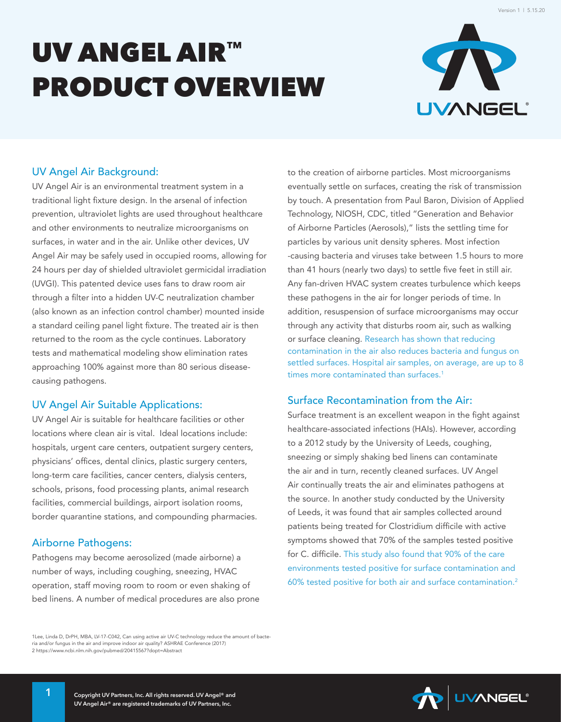# UV ANGEL AIR™ PRODUCT OVERVIEW



#### UV Angel Air Background:

UV Angel Air is an environmental treatment system in a traditional light fixture design. In the arsenal of infection prevention, ultraviolet lights are used throughout healthcare and other environments to neutralize microorganisms on surfaces, in water and in the air. Unlike other devices, UV Angel Air may be safely used in occupied rooms, allowing for 24 hours per day of shielded ultraviolet germicidal irradiation (UVGI). This patented device uses fans to draw room air through a filter into a hidden UV-C neutralization chamber (also known as an infection control chamber) mounted inside a standard ceiling panel light fixture. The treated air is then returned to the room as the cycle continues. Laboratory tests and mathematical modeling show elimination rates approaching 100% against more than 80 serious diseasecausing pathogens.

#### UV Angel Air Suitable Applications:

UV Angel Air is suitable for healthcare facilities or other locations where clean air is vital. Ideal locations include: hospitals, urgent care centers, outpatient surgery centers, physicians' offices, dental clinics, plastic surgery centers, long-term care facilities, cancer centers, dialysis centers, schools, prisons, food processing plants, animal research facilities, commercial buildings, airport isolation rooms, border quarantine stations, and compounding pharmacies.

#### Airborne Pathogens:

Pathogens may become aerosolized (made airborne) a number of ways, including coughing, sneezing, HVAC operation, staff moving room to room or even shaking of bed linens. A number of medical procedures are also prone to the creation of airborne particles. Most microorganisms eventually settle on surfaces, creating the risk of transmission by touch. A presentation from Paul Baron, Division of Applied Technology, NIOSH, CDC, titled "Generation and Behavior of Airborne Particles (Aerosols)," lists the settling time for particles by various unit density spheres. Most infection -causing bacteria and viruses take between 1.5 hours to more than 41 hours (nearly two days) to settle five feet in still air. Any fan-driven HVAC system creates turbulence which keeps these pathogens in the air for longer periods of time. In addition, resuspension of surface microorganisms may occur through any activity that disturbs room air, such as walking or surface cleaning. Research has shown that reducing contamination in the air also reduces bacteria and fungus on settled surfaces. Hospital air samples, on average, are up to 8 times more contaminated than surfaces.<sup>1</sup>

#### Surface Recontamination from the Air:

Surface treatment is an excellent weapon in the fight against healthcare-associated infections (HAIs). However, according to a 2012 study by the University of Leeds, coughing, sneezing or simply shaking bed linens can contaminate the air and in turn, recently cleaned surfaces. UV Angel Air continually treats the air and eliminates pathogens at the source. In another study conducted by the University of Leeds, it was found that air samples collected around patients being treated for Clostridium difficile with active symptoms showed that 70% of the samples tested positive for C. difficile. This study also found that 90% of the care environments tested positive for surface contamination and 60% tested positive for both air and surface contamination.<sup>2</sup>

1Lee, Linda D, DrPH, MBA, LV-17-C042, Can using active air UV-C technology reduce the amount of bacteria and/or fungus in the air and improve indoor air quality? ASHRAE Conference (2017) 2 https://www.ncbi.nlm.nih.gov/pubmed/20415567?dopt=Abstract

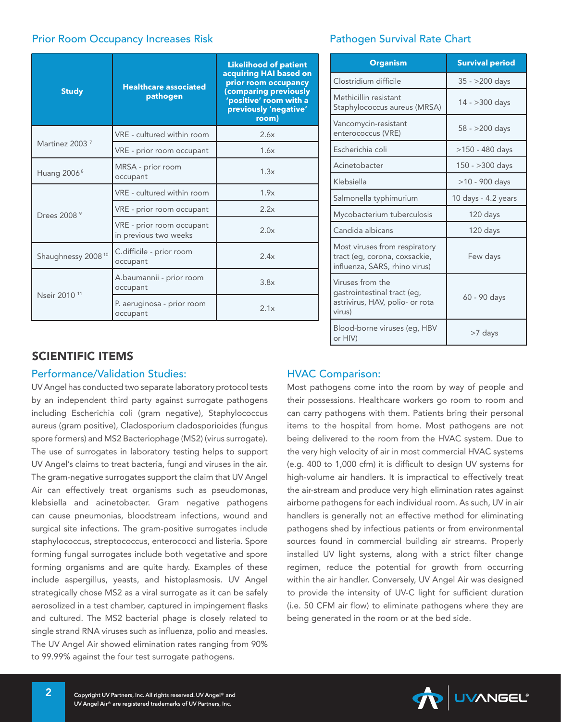#### Prior Room Occupancy Increases Risk Pathogen Survival Rate Chart

| <b>Study</b>                   | <b>Healthcare associated</b><br>pathogen           | <b>Likelihood of patient</b><br>acquiring HAI based on<br>prior room occupancy<br>(comparing previously<br>'positive' room with a<br>previously 'negative'<br>room) |
|--------------------------------|----------------------------------------------------|---------------------------------------------------------------------------------------------------------------------------------------------------------------------|
| Martinez 2003 <sup>7</sup>     | VRE - cultured within room                         | 2.6x                                                                                                                                                                |
|                                | VRE - prior room occupant                          | 1.6x                                                                                                                                                                |
| Huang $20068$                  | MRSA - prior room<br>1.3x<br>occupant              |                                                                                                                                                                     |
| Drees 2008 <sup>9</sup>        | VRE - cultured within room                         | 1.9x                                                                                                                                                                |
|                                | VRE - prior room occupant                          | 2.2x                                                                                                                                                                |
|                                | VRE - prior room occupant<br>in previous two weeks | 2.0x                                                                                                                                                                |
| Shaughnessy 2008 <sup>10</sup> | C.difficile - prior room<br>occupant               | 2.4x                                                                                                                                                                |
| Nseir 2010 <sup>11</sup>       | A.baumannii - prior room<br>occupant               | 3.8x                                                                                                                                                                |
|                                | P. aeruginosa - prior room<br>occupant             | 2.1x                                                                                                                                                                |

### SCIENTIFIC ITEMS

#### Performance/Validation Studies:

UV Angel has conducted two separate laboratory protocol tests by an independent third party against surrogate pathogens including Escherichia coli (gram negative), Staphylococcus aureus (gram positive), Cladosporium cladosporioides (fungus spore formers) and MS2 Bacteriophage (MS2) (virus surrogate). The use of surrogates in laboratory testing helps to support UV Angel's claims to treat bacteria, fungi and viruses in the air. The gram-negative surrogates support the claim that UV Angel Air can effectively treat organisms such as pseudomonas, klebsiella and acinetobacter. Gram negative pathogens can cause pneumonias, bloodstream infections, wound and surgical site infections. The gram-positive surrogates include staphylococcus, streptococcus, enterococci and listeria. Spore forming fungal surrogates include both vegetative and spore forming organisms and are quite hardy. Examples of these include aspergillus, yeasts, and histoplasmosis. UV Angel strategically chose MS2 as a viral surrogate as it can be safely aerosolized in a test chamber, captured in impingement flasks and cultured. The MS2 bacterial phage is closely related to single strand RNA viruses such as influenza, polio and measles. The UV Angel Air showed elimination rates ranging from 90% to 99.99% against the four test surrogate pathogens.

| <b>Organism</b>                                                                                 | <b>Survival period</b> |
|-------------------------------------------------------------------------------------------------|------------------------|
| Clostridium difficile                                                                           | $35 - 200$ days        |
| Methicillin resistant<br>Staphylococcus aureus (MRSA)                                           | 14 - > 300 days        |
| Vancomycin-resistant<br>enterococcus (VRE)                                                      | 58 - >200 days         |
| Escherichia coli                                                                                | $>150 - 480$ days      |
| Acinetobacter                                                                                   | $150 - 300$ days       |
| Klebsiella                                                                                      | >10 - 900 days         |
| Salmonella typhimurium                                                                          | 10 days - 4.2 years    |
| Mycobacterium tuberculosis                                                                      | 120 days               |
| Candida albicans                                                                                | 120 days               |
| Most viruses from respiratory<br>tract (eg, corona, coxsackie,<br>influenza, SARS, rhino virus) | Few days               |
| Viruses from the<br>gastrointestinal tract (eg,<br>astrivirus, HAV, polio- or rota<br>virus)    | 60 - 90 days           |
| Blood-borne viruses (eq. HBV<br>or HIV)                                                         | >7 days                |

#### HVAC Comparison:

Most pathogens come into the room by way of people and their possessions. Healthcare workers go room to room and can carry pathogens with them. Patients bring their personal items to the hospital from home. Most pathogens are not being delivered to the room from the HVAC system. Due to the very high velocity of air in most commercial HVAC systems (e.g. 400 to 1,000 cfm) it is difficult to design UV systems for high-volume air handlers. It is impractical to effectively treat the air-stream and produce very high elimination rates against airborne pathogens for each individual room. As such, UV in air handlers is generally not an effective method for eliminating pathogens shed by infectious patients or from environmental sources found in commercial building air streams. Properly installed UV light systems, along with a strict filter change regimen, reduce the potential for growth from occurring within the air handler. Conversely, UV Angel Air was designed to provide the intensity of UV-C light for sufficient duration (i.e. 50 CFM air flow) to eliminate pathogens where they are being generated in the room or at the bed side.

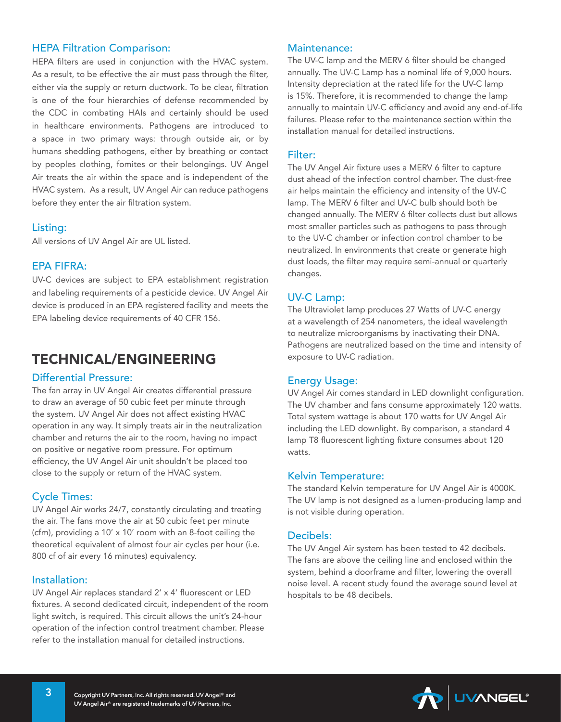#### HEPA Filtration Comparison:

HEPA filters are used in conjunction with the HVAC system. As a result, to be effective the air must pass through the filter, either via the supply or return ductwork. To be clear, filtration is one of the four hierarchies of defense recommended by the CDC in combating HAIs and certainly should be used in healthcare environments. Pathogens are introduced to a space in two primary ways: through outside air, or by humans shedding pathogens, either by breathing or contact by peoples clothing, fomites or their belongings. UV Angel Air treats the air within the space and is independent of the HVAC system. As a result, UV Angel Air can reduce pathogens before they enter the air filtration system.

#### Listing:

All versions of UV Angel Air are UL listed.

#### EPA FIFRA:

UV-C devices are subject to EPA establishment registration and labeling requirements of a pesticide device. UV Angel Air device is produced in an EPA registered facility and meets the EPA labeling device requirements of 40 CFR 156.

## TECHNICAL/ENGINEERING

#### Differential Pressure:

The fan array in UV Angel Air creates differential pressure to draw an average of 50 cubic feet per minute through the system. UV Angel Air does not affect existing HVAC operation in any way. It simply treats air in the neutralization chamber and returns the air to the room, having no impact on positive or negative room pressure. For optimum efficiency, the UV Angel Air unit shouldn't be placed too close to the supply or return of the HVAC system.

#### Cycle Times:

UV Angel Air works 24/7, constantly circulating and treating the air. The fans move the air at 50 cubic feet per minute (cfm), providing a 10' x 10' room with an 8-foot ceiling the theoretical equivalent of almost four air cycles per hour (i.e. 800 cf of air every 16 minutes) equivalency.

#### Installation:

UV Angel Air replaces standard 2' x 4' fluorescent or LED fixtures. A second dedicated circuit, independent of the room light switch, is required. This circuit allows the unit's 24-hour operation of the infection control treatment chamber. Please refer to the installation manual for detailed instructions.

#### Maintenance:

The UV-C lamp and the MERV 6 filter should be changed annually. The UV-C Lamp has a nominal life of 9,000 hours. Intensity depreciation at the rated life for the UV-C lamp is 15%. Therefore, it is recommended to change the lamp annually to maintain UV-C efficiency and avoid any end-of-life failures. Please refer to the maintenance section within the installation manual for detailed instructions.

#### Filter:

The UV Angel Air fixture uses a MERV 6 filter to capture dust ahead of the infection control chamber. The dust-free air helps maintain the efficiency and intensity of the UV-C lamp. The MERV 6 filter and UV-C bulb should both be changed annually. The MERV 6 filter collects dust but allows most smaller particles such as pathogens to pass through to the UV-C chamber or infection control chamber to be neutralized. In environments that create or generate high dust loads, the filter may require semi-annual or quarterly changes.

#### UV-C Lamp:

The Ultraviolet lamp produces 27 Watts of UV-C energy at a wavelength of 254 nanometers, the ideal wavelength to neutralize microorganisms by inactivating their DNA. Pathogens are neutralized based on the time and intensity of exposure to UV-C radiation.

#### Energy Usage:

UV Angel Air comes standard in LED downlight configuration. The UV chamber and fans consume approximately 120 watts. Total system wattage is about 170 watts for UV Angel Air including the LED downlight. By comparison, a standard 4 lamp T8 fluorescent lighting fixture consumes about 120 watts.

#### Kelvin Temperature:

The standard Kelvin temperature for UV Angel Air is 4000K. The UV lamp is not designed as a lumen-producing lamp and is not visible during operation.

#### Decibels:

The UV Angel Air system has been tested to 42 decibels. The fans are above the ceiling line and enclosed within the system, behind a doorframe and filter, lowering the overall noise level. A recent study found the average sound level at hospitals to be 48 decibels.